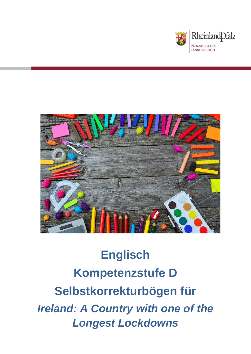



**Englisch Kompetenzstufe D Selbstkorrekturbögen für** *Ireland: A Country with one of the Longest Lockdowns*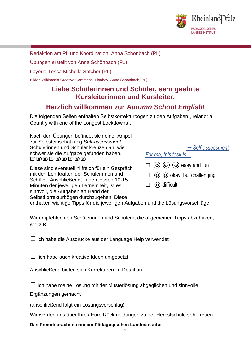

### Redaktion am PL und Koordination: Anna Schönbach (PL)

Übungen erstellt von Anna Schönbach (PL)

Layout: Tosca Michelle Satcher (PL)

Bilder: Wikimedia Creative Commons, Pixabay, Anna Schönbach (PL)

### **Liebe Schülerinnen und Schüler, sehr geehrte Kursleiterinnen und Kursleiter,**

### **Herzlich willkommen zur** *Autumn School English***!**

Die folgenden Seiten enthalten Selbstkorrekturbögen zu den Aufgaben "Ireland: a Country with one of the Longest Lockdowns".

Nach den Übungen befindet sich eine "Ampel" zur Selbsteinschätzung *Self-assessment.* Schülerinnen und Schüler kreuzen an, wie schwer sie die Aufgabe gefunden haben. *EXEREBERE* 

Diese sind eventuell hilfreich für ein Gespräch mit den Lehrkräften der Schülerinnen und Schüler. Anschließend, in den letzten 10-15 Minuten der jeweiligen Lerneinheit, ist es sinnvoll, die Aufgaben an Hand der Selbstkorrekturbögen durchzugehen. Diese

| $ightharpoonup$ Self-assessment                     |
|-----------------------------------------------------|
| For me, this task is                                |
| $\Box$ $\odot$ $\odot$ $\odot$ $\odot$ easy and fun |
| $\Box$ $\odot$ $\odot$ okay, but challenging        |
| $\circledcirc$ difficult<br>$\Box$                  |

enthalten wichtige Tipps für die jeweiligen Aufgaben und die Lösungsvorschläge.

Wir empfehlen den Schülerinnen und Schülern, die allgemeinen Tipps abzuhaken, wie z $R$ .

 $\Box$  ich habe die Ausdrücke aus der Language Help verwendet

 $\Box$  ich habe auch kreative Ideen umgesetzt

Anschließend bieten sich Korrekturen im Detail an.

 $\Box$  Ich habe meine Lösung mit der Musterlösung abgeglichen und sinnvolle

Ergänzungen gemacht

(anschließend folgt ein Lösungsvorschlag)

Wir werden uns über Ihre / Eure Rückmeldungen zu der Herbstschule sehr freuen.

**Das Fremdsprachenteam am Pädagogischen Landesinstitut**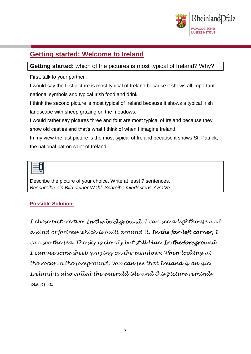

## **Getting started: Welcome to Ireland**

### **Getting started:** which of the pictures is most typical of Ireland? Why?

First, talk to your partner :

I would say the first picture is most typical of Ireland because it shows all important national symbols and typical Irish food and drink

I think the second picture is most typical of Ireland because it shows a typical Irish landscape with sheep grazing on the meadows.

I would rather say pictures three and four are most typical of Ireland because they show old castles and that's what I think of when I imagine Ireland.

In my view the last picture is the most typical of Ireland because it shows St. Patrick, the national patron saint of Ireland.

Describe the picture of your choice. Write at least 7 sentences. *Beschreibe ein Bild deiner Wahl. Schreibe mindestens 7 Sätze.*

### **Possible Solution:**

*I chose picture two. In the background, I can see a lighthouse and a kind of fortress which is built around it. In the far-left corner, I can see the sea. The sky is cloudy but still blue. In the foreground, I can see some sheep grazing on the meadows. When looking at the rocks in the foreground, you can see that Ireland is an isle. Ireland is also called the emerald isle and this picture reminds me of it.*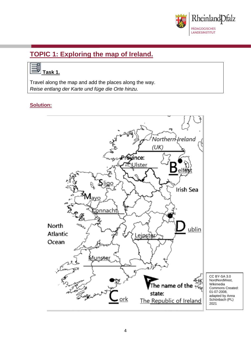

## **TOPIC 1: Exploring the map of Ireland.**

## **Task 1.**

Travel along the map and add the places along the way. *Reise entlang der Karte und füge die Orte hinzu.*

### **Solution:**

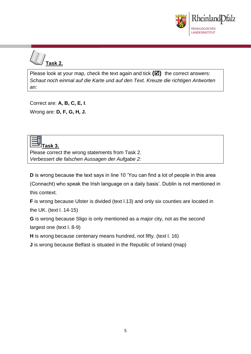



Please look at your map, check the text again and tick  $(\boxtimes)$  the correct answers: *Schaut noch einmal auf die Karte und auf den Text. Kreuze die richtigen Antworten an:*

Correct are: **A, B, C, E, I**. Wrong are: **D, F, G, H, J.**



Please correct the wrong statements from Task 2. *Verbessert die falschen Aussagen der Aufgabe 2:*

**D** is wrong because the text says in line 10 'You can find a lot of people in this area (Connacht) who speak the Irish language on a daily basis'. Dublin is not mentioned in this context.

**F** is wrong because Ulster is divided (text l.13) and only six counties are located in the UK. (text l. 14-15)

**G** is wrong because Sligo is only mentioned as a major city, not as the second largest one (text l. 8-9)

**H** is wrong because centenary means hundred, not fifty. (text l. 16)

**J** is wrong because Belfast is situated in the Republic of Ireland (map)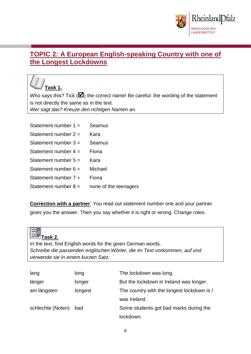

### **TOPIC 2: A European English-speaking Country with one of the Longest Lockdowns**

## **Task 1.**

 $\Box$ 

Who says this? Tick ( $\Box$ ) the correct name! Be careful: the wording of the statement is not directly the same as in the text. *Wer sagt das? Kreuze den richtigen Namen an.* 

| Statement number $1 =$ | Seamus                |
|------------------------|-----------------------|
| Statement number $2 =$ | Kara                  |
| Statement number $3 =$ | Seamus                |
| Statement number $4 =$ | Fiona                 |
| Statement number $5 =$ | Kara                  |
| Statement number $6 =$ | Michael               |
| Statement number $7 =$ | Fiona                 |
| Statement number $8 =$ | none of the teenagers |

**Correction with a partner**: You read out statement number one and your partner gives you the answer. Then you say whether it is right or wrong. Change roles.

| <b>Task 2.</b><br>verwende sie in einem kurzen Satz. |         | In the text, find English words for the given German words.<br>Schreibe die passenden englischen Wörter, die im Text vorkommen, auf und |
|------------------------------------------------------|---------|-----------------------------------------------------------------------------------------------------------------------------------------|
|                                                      |         |                                                                                                                                         |
| lang                                                 | long    | The lockdown was long.                                                                                                                  |
| länger                                               | longer  | But the lockdown in Ireland was longer.                                                                                                 |
| am längsten                                          | longest | The country with the longest lockdown is /                                                                                              |
|                                                      |         | was Ireland.                                                                                                                            |
| schlechte (Noten)                                    | bad     | Some students got bad marks during the                                                                                                  |

lockdown.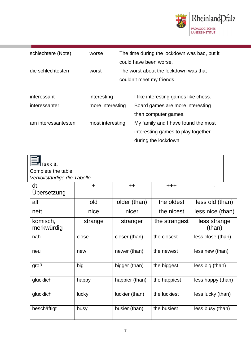

| schlechtere (Note)  | worse            | The time during the lockdown was bad, but it<br>could have been worse. |                                      |
|---------------------|------------------|------------------------------------------------------------------------|--------------------------------------|
| die schlechtesten   | worst            | The worst about the lockdown was that I<br>couldn't meet my friends.   |                                      |
| interessant         | interesting      |                                                                        | I like interesting games like chess. |
| interessanter       | more interesting |                                                                        | Board games are more interesting     |
|                     |                  |                                                                        | than computer games.                 |
| am interessantesten | most interesting |                                                                        | My family and I have found the most  |
|                     |                  |                                                                        | interesting games to play together   |
|                     |                  |                                                                        | during the lockdown                  |

| Гаsk 3.                      |         |                |               |                        |  |
|------------------------------|---------|----------------|---------------|------------------------|--|
| Complete the table:          |         |                |               |                        |  |
| Vervollständige die Tabelle. |         |                |               |                        |  |
| dt.<br>Ubersetzung           | $\div$  | $++$           | $+ + +$       |                        |  |
| alt                          | old     | older (than)   | the oldest    | less old (than)        |  |
| nett                         | nice    | nicer          | the nicest    | less nice (than)       |  |
| komisch,<br>merkwürdig       | strange | stranger       | the strangest | less strange<br>(than) |  |
| nah                          | close   | closer (than)  | the closest   | less close (than)      |  |
| neu                          | new     | newer (than)   | the newest    | less new (than)        |  |
| groß                         | big     | bigger (than)  | the biggest   | less big (than)        |  |
| glücklich                    | happy   | happier (than) | the happiest  | less happy (than)      |  |
| glücklich                    | lucky   | luckier (than) | the luckiest  | less lucky (than)      |  |
| beschäftigt                  | busy    | busier (than)  | the busiest   | less busy (than)       |  |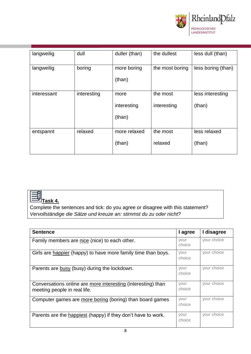

| langweilig  | dull        | duller (than) | the dullest     | less dull (than)   |
|-------------|-------------|---------------|-----------------|--------------------|
|             |             |               |                 |                    |
|             |             |               |                 |                    |
| langweilig  | boring      | more boring   | the most boring | less boring (than) |
|             |             |               |                 |                    |
|             |             |               |                 |                    |
|             |             | (than)        |                 |                    |
|             |             |               |                 |                    |
|             |             |               |                 |                    |
| interessant | interesting | more          | the most        | less interesting   |
|             |             |               |                 |                    |
|             |             | interesting   | interesting     | (than)             |
|             |             |               |                 |                    |
|             |             |               |                 |                    |
|             |             | (than)        |                 |                    |
|             |             |               |                 |                    |
|             |             |               |                 |                    |
| entspannt   | relaxed     | more relaxed  | the most        | less relaxed       |
|             |             |               |                 |                    |
|             |             |               |                 |                    |
|             |             | (than)        | relaxed         | (than)             |
|             |             |               |                 |                    |
|             |             |               |                 |                    |

## **Task 4.**

Complete the sentences and tick: do you agree or disagree with this statement? *Vervollständige die Sätze und kreuze an: stimmst du zu oder nicht?*

| <b>Sentence</b>                                                                              | I agree        | I disagree  |
|----------------------------------------------------------------------------------------------|----------------|-------------|
| Family members are nice (nice) to each other.                                                | your<br>choice | your choice |
| Girls are happier (happy) to have more family time than boys.                                | your<br>choice | your choice |
| Parents are busy (busy) during the lockdown.                                                 | vour<br>choice | your choice |
| Conversations online are more interesting (interesting) than<br>meeting people in real life. | your<br>choice | your choice |
| Computer games are more boring (boring) than board games                                     | vour<br>choice | your choice |
| Parents are the happiest (happy) if they don't have to work.                                 | your<br>choice | your choice |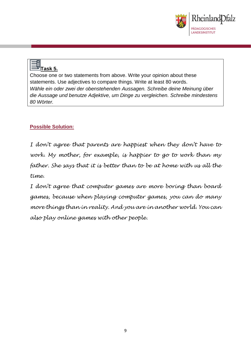

## **Task 5.**

Choose one or two statements from above. Write your opinion about these statements. Use adjectives to compare things. Write at least 80 words. *Wähle ein oder zwei der obenstehenden Aussagen. Schreibe deine Meinung über die Aussage und benutze Adjektive, um Dinge zu vergleichen. Schreibe mindestens 80 Wörter.* 

### **Possible Solution:**

*I don't agree that parents are happiest when they don't have to*  work. My mother, for example, is happier to go to work than my *father. She says that it is better than to be at home with us all the time.*

*I don't agree that computer games are more boring than board games, because when playing computer games, you can do many more things than in reality. And you are in another world. You can also play online games with other people.*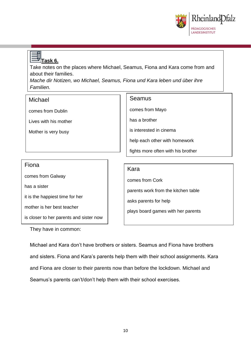

# **Task 6.**

Take notes on the places where Michael, Seamus, Fiona and Kara come from and about their families.

*Mache dir Notizen, wo Michael, Seamus, Fiona und Kara leben und über ihre Familien.*

### Michael

comes from Dublin

Lives with his mother

Mother is very busy

### Seamus

comes from Mayo

has a brother

is interested in cinema

help each other with homework

fights more often with his brother

#### Fiona

comes from Galway

has a sister

it is the happiest time for her

mother is her best teacher

is closer to her parents and sister now

Kara

comes from Cork

parents work from the kitchen table

asks parents for help

plays board games with her parents

They have in common:

Michael and Kara don't have brothers or sisters. Seamus and Fiona have brothers and sisters. Fiona and Kara's parents help them with their school assignments. Kara and Fiona are closer to their parents now than before the lockdown. Michael and Seamus's parents can't/don't help them with their school exercises.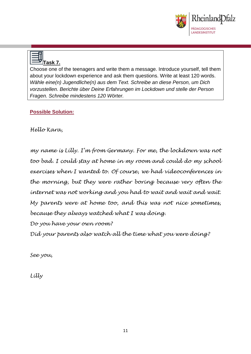

| ÷.<br>к<br>a<br>15 |
|--------------------|
|--------------------|

Choose one of the teenagers and write them a message. Introduce yourself, tell them about your lockdown experience and ask them questions. Write at least 120 words. *Wähle eine(n) Jugendliche(n) aus dem Text. Schreibe an diese Person, um Dich vorzustellen. Berichte über Deine Erfahrungen im Lockdown und stelle der Person Fragen. Schreibe mindestens 120 Wörter.* 

### **Possible Solution:**

*Hello Kara,*

*my name is Lilly. I'm from Germany. For me, the lockdown was not too bad. I could stay at home in my room and could do my school exercises when I wanted to. Of course, we had videoconferences in the morning, but they were rather boring because very often the internet was not working and you had to wait and wait and wait. My parents were at home too, and this was not nice sometimes, because they always watched what I was doing.*

*Do you have your own room?*

*Did your parents also watch all the time what you were doing?*

*See you,*

*Lilly*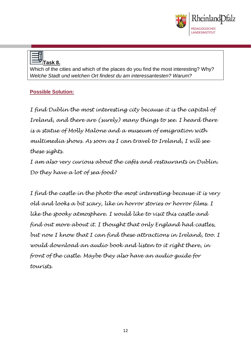



Which of the cities and which of the places do you find the most interesting? Why? *Welche Stadt und welchen Ort findest du am interessantesten? Warum?*

### **Possible Solution:**

*I find Dublin the most interesting city because it is the capital of Ireland, and there are (surely) many things to see. I heard there is a statue of Molly Malone and a museum of emigration with multimedia shows. As soon as I can travel to Ireland, I will see these sights.*

*I am also very curious about the cafés and restaurants in Dublin. Do they have a lot of sea food?* 

*I find the castle in the photo the most interesting because it is very old and looks a bit scary, like in horror stories or horror films. I like the spooky atmosphere. I would like to visit this castle and find out more about it. I thought that only England had castles, but now I know that I can find these attractions in Ireland, too. I would download an audio book and listen to it right there, in front of the castle. Maybe they also have an audio guide for tourists.*